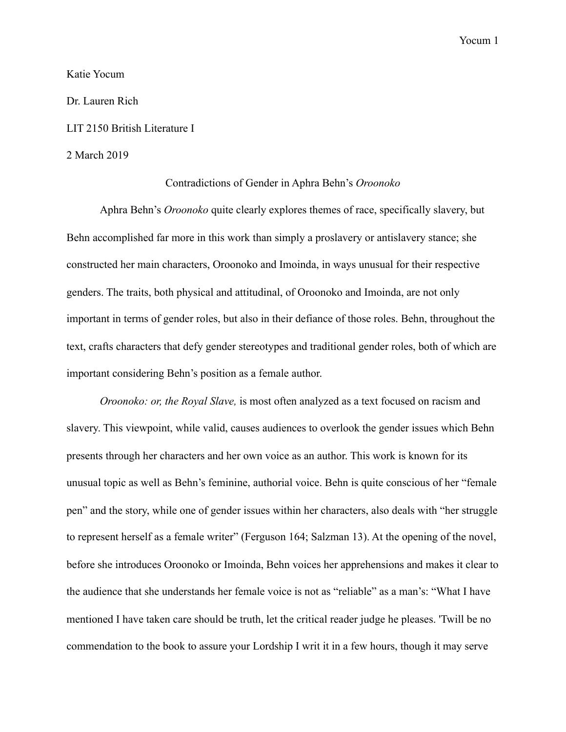### Katie Yocum

Dr. Lauren Rich

# LIT 2150 British Literature I

### 2 March 2019

# Contradictions of Gender in Aphra Behn's *Oroonoko*

 Aphra Behn's *Oroonoko* quite clearly explores themes of race, specifically slavery, but Behn accomplished far more in this work than simply a proslavery or antislavery stance; she constructed her main characters, Oroonoko and Imoinda, in ways unusual for their respective genders. The traits, both physical and attitudinal, of Oroonoko and Imoinda, are not only important in terms of gender roles, but also in their defiance of those roles. Behn, throughout the text, crafts characters that defy gender stereotypes and traditional gender roles, both of which are important considering Behn's position as a female author.

*Oroonoko: or, the Royal Slave,* is most often analyzed as a text focused on racism and slavery. This viewpoint, while valid, causes audiences to overlook the gender issues which Behn presents through her characters and her own voice as an author. This work is known for its unusual topic as well as Behn's feminine, authorial voice. Behn is quite conscious of her "female pen" and the story, while one of gender issues within her characters, also deals with "her struggle to represent herself as a female writer" (Ferguson 164; Salzman 13). At the opening of the novel, before she introduces Oroonoko or Imoinda, Behn voices her apprehensions and makes it clear to the audience that she understands her female voice is not as "reliable" as a man's: "What I have mentioned I have taken care should be truth, let the critical reader judge he pleases. 'Twill be no commendation to the book to assure your Lordship I writ it in a few hours, though it may serve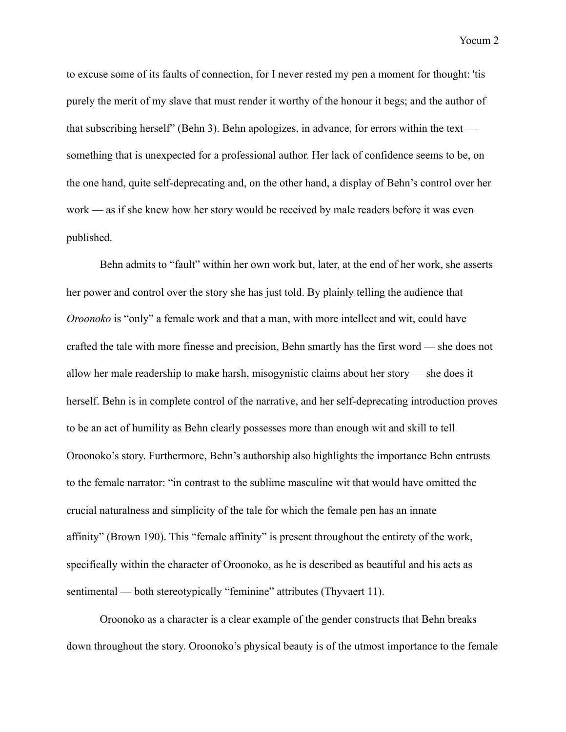to excuse some of its faults of connection, for I never rested my pen a moment for thought: 'tis purely the merit of my slave that must render it worthy of the honour it begs; and the author of that subscribing herself" (Behn 3). Behn apologizes, in advance, for errors within the text something that is unexpected for a professional author. Her lack of confidence seems to be, on the one hand, quite self-deprecating and, on the other hand, a display of Behn's control over her work — as if she knew how her story would be received by male readers before it was even published.

 Behn admits to "fault" within her own work but, later, at the end of her work, she asserts her power and control over the story she has just told. By plainly telling the audience that *Oroonoko* is "only" a female work and that a man, with more intellect and wit, could have crafted the tale with more finesse and precision, Behn smartly has the first word — she does not allow her male readership to make harsh, misogynistic claims about her story — she does it herself. Behn is in complete control of the narrative, and her self-deprecating introduction proves to be an act of humility as Behn clearly possesses more than enough wit and skill to tell Oroonoko's story. Furthermore, Behn's authorship also highlights the importance Behn entrusts to the female narrator: "in contrast to the sublime masculine wit that would have omitted the crucial naturalness and simplicity of the tale for which the female pen has an innate affinity" (Brown 190). This "female affinity" is present throughout the entirety of the work, specifically within the character of Oroonoko, as he is described as beautiful and his acts as sentimental — both stereotypically "feminine" attributes (Thyvaert 11).

 Oroonoko as a character is a clear example of the gender constructs that Behn breaks down throughout the story. Oroonoko's physical beauty is of the utmost importance to the female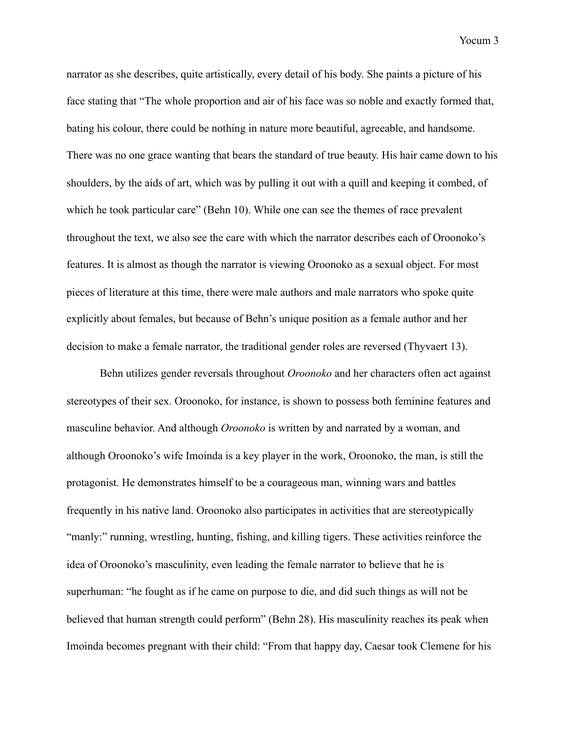narrator as she describes, quite artistically, every detail of his body. She paints a picture of his face stating that "The whole proportion and air of his face was so noble and exactly formed that, bating his colour, there could be nothing in nature more beautiful, agreeable, and handsome. There was no one grace wanting that bears the standard of true beauty. His hair came down to his shoulders, by the aids of art, which was by pulling it out with a quill and keeping it combed, of which he took particular care" (Behn 10). While one can see the themes of race prevalent throughout the text, we also see the care with which the narrator describes each of Oroonoko's features. It is almost as though the narrator is viewing Oroonoko as a sexual object. For most pieces of literature at this time, there were male authors and male narrators who spoke quite explicitly about females, but because of Behn's unique position as a female author and her decision to make a female narrator, the traditional gender roles are reversed (Thyvaert 13).

 Behn utilizes gender reversals throughout *Oroonoko* and her characters often act against stereotypes of their sex. Oroonoko, for instance, is shown to possess both feminine features and masculine behavior. And although *Oroonoko* is written by and narrated by a woman, and although Oroonoko's wife Imoinda is a key player in the work, Oroonoko, the man, is still the protagonist. He demonstrates himself to be a courageous man, winning wars and battles frequently in his native land. Oroonoko also participates in activities that are stereotypically "manly:" running, wrestling, hunting, fishing, and killing tigers. These activities reinforce the idea of Oroonoko's masculinity, even leading the female narrator to believe that he is superhuman: "he fought as if he came on purpose to die, and did such things as will not be believed that human strength could perform" (Behn 28). His masculinity reaches its peak when Imoinda becomes pregnant with their child: "From that happy day, Caesar took Clemene for his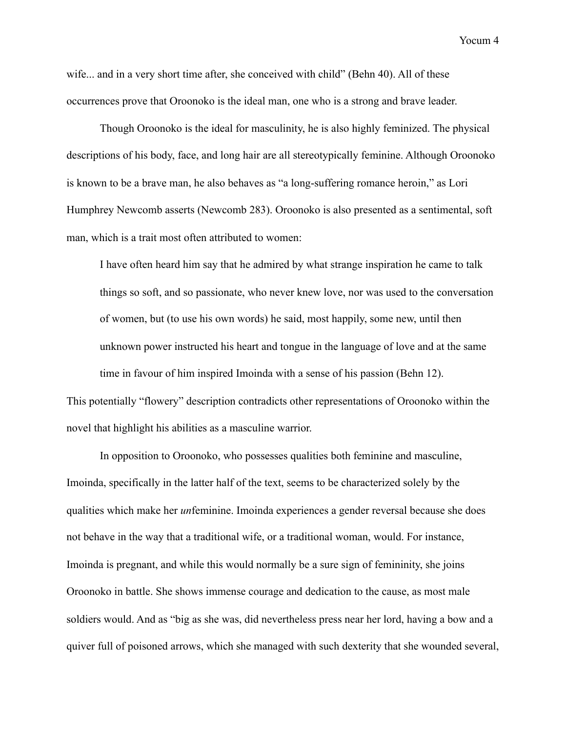wife... and in a very short time after, she conceived with child" (Behn 40). All of these occurrences prove that Oroonoko is the ideal man, one who is a strong and brave leader.

 Though Oroonoko is the ideal for masculinity, he is also highly feminized. The physical descriptions of his body, face, and long hair are all stereotypically feminine. Although Oroonoko is known to be a brave man, he also behaves as "a long-suffering romance heroin," as Lori Humphrey Newcomb asserts (Newcomb 283). Oroonoko is also presented as a sentimental, soft man, which is a trait most often attributed to women:

I have often heard him say that he admired by what strange inspiration he came to talk things so soft, and so passionate, who never knew love, nor was used to the conversation of women, but (to use his own words) he said, most happily, some new, until then unknown power instructed his heart and tongue in the language of love and at the same time in favour of him inspired Imoinda with a sense of his passion (Behn 12). This potentially "flowery" description contradicts other representations of Oroonoko within the

novel that highlight his abilities as a masculine warrior.

 In opposition to Oroonoko, who possesses qualities both feminine and masculine, Imoinda, specifically in the latter half of the text, seems to be characterized solely by the qualities which make her *un*feminine. Imoinda experiences a gender reversal because she does not behave in the way that a traditional wife, or a traditional woman, would. For instance, Imoinda is pregnant, and while this would normally be a sure sign of femininity, she joins Oroonoko in battle. She shows immense courage and dedication to the cause, as most male soldiers would. And as "big as she was, did nevertheless press near her lord, having a bow and a quiver full of poisoned arrows, which she managed with such dexterity that she wounded several,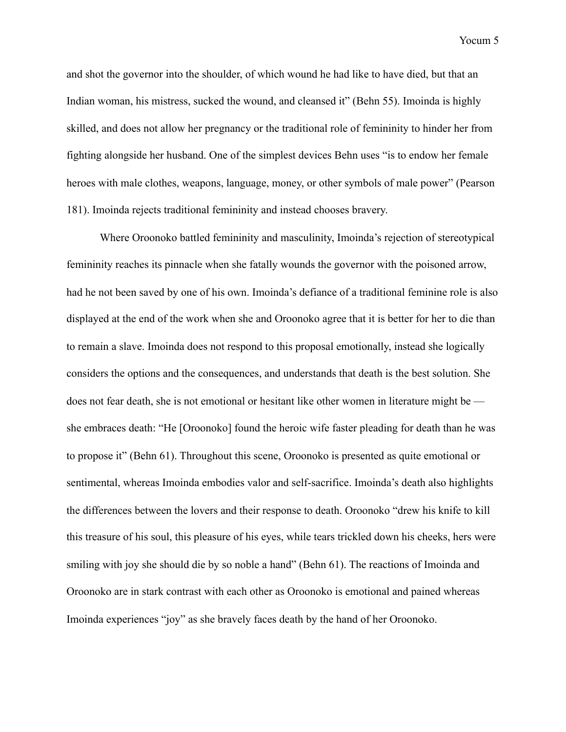and shot the governor into the shoulder, of which wound he had like to have died, but that an Indian woman, his mistress, sucked the wound, and cleansed it" (Behn 55). Imoinda is highly skilled, and does not allow her pregnancy or the traditional role of femininity to hinder her from fighting alongside her husband. One of the simplest devices Behn uses "is to endow her female heroes with male clothes, weapons, language, money, or other symbols of male power" (Pearson 181). Imoinda rejects traditional femininity and instead chooses bravery.

 Where Oroonoko battled femininity and masculinity, Imoinda's rejection of stereotypical femininity reaches its pinnacle when she fatally wounds the governor with the poisoned arrow, had he not been saved by one of his own. Imoinda's defiance of a traditional feminine role is also displayed at the end of the work when she and Oroonoko agree that it is better for her to die than to remain a slave. Imoinda does not respond to this proposal emotionally, instead she logically considers the options and the consequences, and understands that death is the best solution. She does not fear death, she is not emotional or hesitant like other women in literature might be she embraces death: "He [Oroonoko] found the heroic wife faster pleading for death than he was to propose it" (Behn 61). Throughout this scene, Oroonoko is presented as quite emotional or sentimental, whereas Imoinda embodies valor and self-sacrifice. Imoinda's death also highlights the differences between the lovers and their response to death. Oroonoko "drew his knife to kill this treasure of his soul, this pleasure of his eyes, while tears trickled down his cheeks, hers were smiling with joy she should die by so noble a hand" (Behn 61). The reactions of Imoinda and Oroonoko are in stark contrast with each other as Oroonoko is emotional and pained whereas Imoinda experiences "joy" as she bravely faces death by the hand of her Oroonoko.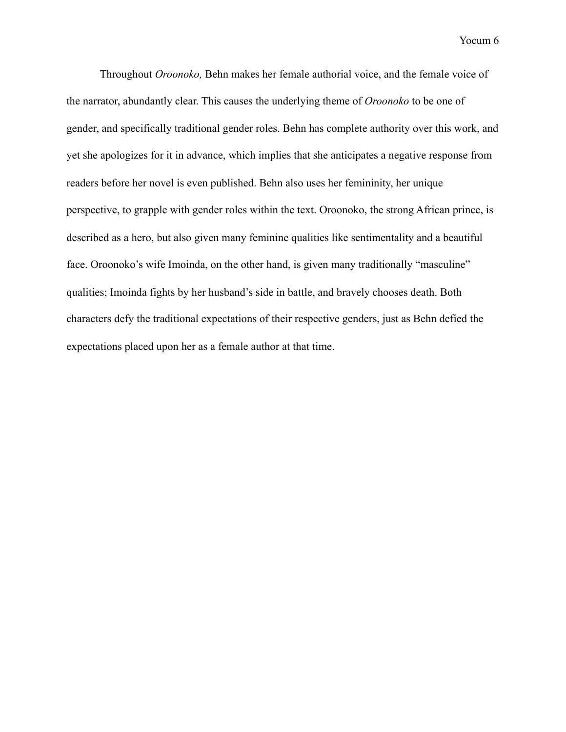Throughout *Oroonoko,* Behn makes her female authorial voice, and the female voice of the narrator, abundantly clear. This causes the underlying theme of *Oroonoko* to be one of gender, and specifically traditional gender roles. Behn has complete authority over this work, and yet she apologizes for it in advance, which implies that she anticipates a negative response from readers before her novel is even published. Behn also uses her femininity, her unique perspective, to grapple with gender roles within the text. Oroonoko, the strong African prince, is described as a hero, but also given many feminine qualities like sentimentality and a beautiful face. Oroonoko's wife Imoinda, on the other hand, is given many traditionally "masculine" qualities; Imoinda fights by her husband's side in battle, and bravely chooses death. Both characters defy the traditional expectations of their respective genders, just as Behn defied the expectations placed upon her as a female author at that time.